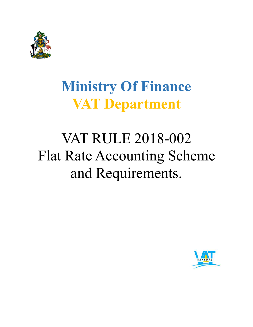

## **Ministry Of Finance VAT Department**

# VAT RULE 2018-002 Flat Rate Accounting Scheme and Requirements.

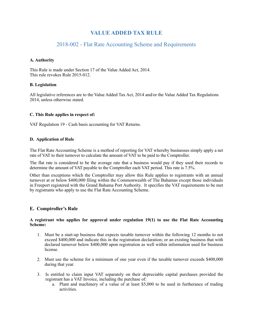## **VALUE ADDED TAX RULE**

### 2018-002 - Flat Rate Accounting Scheme and Requirements

#### **A. Authority**

This Rule is made under Section 17 of the Value Added Act, 2014. This rule revokes Rule 2015-012.

#### **B. Legislation**

All legislative references are to the Value Added Tax Act, 2014 and/or the Value Added Tax Regulations 2014, unless otherwise stated.

#### **C. This Rule applies in respect of:**

VAT Regulation 19 - Cash basis accounting for VAT Returns.

#### **D. Application of Rule**

The Flat Rate Accounting Scheme is a method of reporting for VAT whereby businesses simply apply a net rate of VAT to their turnover to calculate the amount of VAT to be paid to the Comptroller.

The flat rate is considered to be the average rate that a business would pay if they used their records to determine the amount of VAT payable to the Comptroller each VAT period. This rate is 7.5%.

Other than exceptions which the Comptroller may allow this Rule applies to registrants with an annual turnover at or below \$400,000 filing within the Commonwealth of The Bahamas except those individuals in Freeport registered with the Grand Bahama Port Authority. It specifies the VAT requirements to be met by registrants who apply to use the Flat Rate Accounting Scheme.

#### **E. Comptroller's Rule**

#### **A registrant who applies for approval under regulation 19(1) to use the Flat Rate Accounting Scheme:**

- 1. Must be a start-up business that expects taxable turnover within the following 12 months to not exceed \$400,000 and indicate this in the registration declaration; or an existing business that with declared turnover below \$400,000 upon registration as well within information used for business license.
- 2. Must use the scheme for a minimum of one year even if the taxable turnover exceeds \$400,000 during that year.
- 3. Is entitled to claim input VAT separately on their depreciable capital purchases provided the registrant has a VAT Invoice, including the purchase of:
	- a. Plant and machinery of a value of at least \$5,000 to be used in furtherance of trading activities.